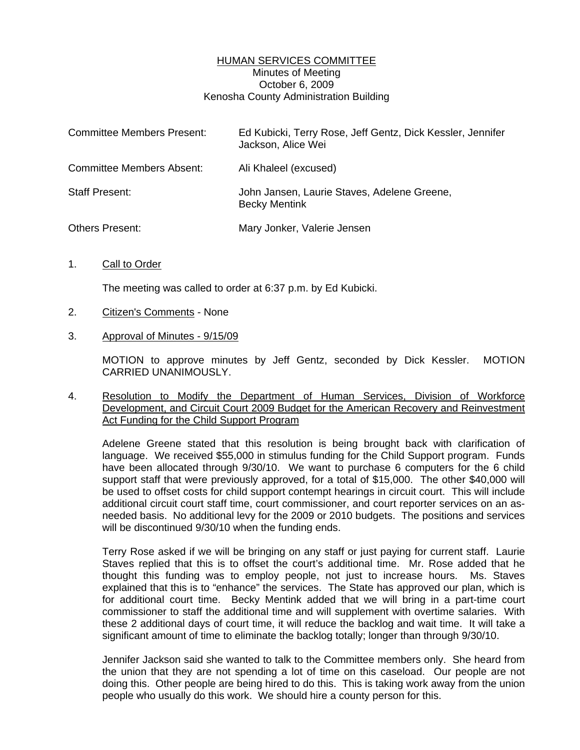## HUMAN SERVICES COMMITTEE Minutes of Meeting October 6, 2009 Kenosha County Administration Building

| <b>Committee Members Present:</b> | Ed Kubicki, Terry Rose, Jeff Gentz, Dick Kessler, Jennifer<br>Jackson, Alice Wei |
|-----------------------------------|----------------------------------------------------------------------------------|
| <b>Committee Members Absent:</b>  | Ali Khaleel (excused)                                                            |
| <b>Staff Present:</b>             | John Jansen, Laurie Staves, Adelene Greene,<br><b>Becky Mentink</b>              |
| Others Present:                   | Mary Jonker, Valerie Jensen                                                      |

1. Call to Order

The meeting was called to order at 6:37 p.m. by Ed Kubicki.

- 2. Citizen's Comments None
- 3. Approval of Minutes 9/15/09

 MOTION to approve minutes by Jeff Gentz, seconded by Dick Kessler. MOTION CARRIED UNANIMOUSLY.

4. Resolution to Modify the Department of Human Services, Division of Workforce Development, and Circuit Court 2009 Budget for the American Recovery and Reinvestment Act Funding for the Child Support Program

 Adelene Greene stated that this resolution is being brought back with clarification of language. We received \$55,000 in stimulus funding for the Child Support program. Funds have been allocated through 9/30/10. We want to purchase 6 computers for the 6 child support staff that were previously approved, for a total of \$15,000. The other \$40,000 will be used to offset costs for child support contempt hearings in circuit court. This will include additional circuit court staff time, court commissioner, and court reporter services on an asneeded basis. No additional levy for the 2009 or 2010 budgets. The positions and services will be discontinued  $9/30/10$  when the funding ends.

 Terry Rose asked if we will be bringing on any staff or just paying for current staff. Laurie Staves replied that this is to offset the court's additional time. Mr. Rose added that he thought this funding was to employ people, not just to increase hours. Ms. Staves explained that this is to "enhance" the services. The State has approved our plan, which is for additional court time. Becky Mentink added that we will bring in a part-time court commissioner to staff the additional time and will supplement with overtime salaries. With these 2 additional days of court time, it will reduce the backlog and wait time. It will take a significant amount of time to eliminate the backlog totally; longer than through 9/30/10.

 Jennifer Jackson said she wanted to talk to the Committee members only. She heard from the union that they are not spending a lot of time on this caseload. Our people are not doing this. Other people are being hired to do this. This is taking work away from the union people who usually do this work. We should hire a county person for this.